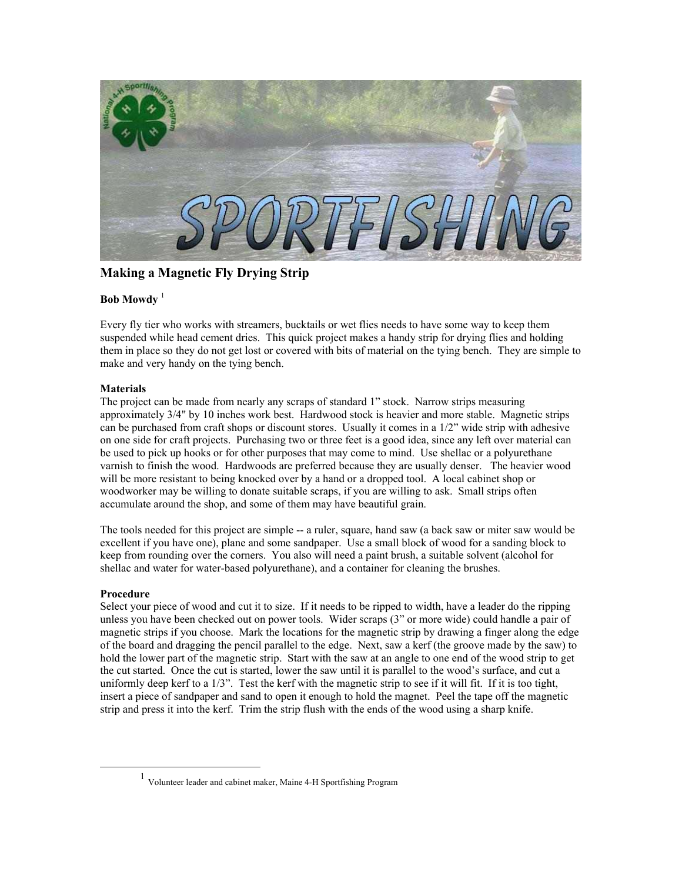

**Making a Magnetic Fly Drying Strip**

## **Bob Mowdy**<sup>[1](#page-0-0)</sup>

Every fly tier who works with streamers, bucktails or wet flies needs to have some way to keep them suspended while head cement dries. This quick project makes a handy strip for drying flies and holding them in place so they do not get lost or covered with bits of material on the tying bench. They are simple to make and very handy on the tying bench.

## **Materials**

The project can be made from nearly any scraps of standard 1" stock. Narrow strips measuring approximately 3/4" by 10 inches work best. Hardwood stock is heavier and more stable. Magnetic strips can be purchased from craft shops or discount stores. Usually it comes in a 1/2" wide strip with adhesive on one side for craft projects. Purchasing two or three feet is a good idea, since any left over material can be used to pick up hooks or for other purposes that may come to mind. Use shellac or a polyurethane varnish to finish the wood. Hardwoods are preferred because they are usually denser. The heavier wood will be more resistant to being knocked over by a hand or a dropped tool. A local cabinet shop or woodworker may be willing to donate suitable scraps, if you are willing to ask. Small strips often accumulate around the shop, and some of them may have beautiful grain.

The tools needed for this project are simple -- a ruler, square, hand saw (a back saw or miter saw would be excellent if you have one), plane and some sandpaper. Use a small block of wood for a sanding block to keep from rounding over the corners. You also will need a paint brush, a suitable solvent (alcohol for shellac and water for water-based polyurethane), and a container for cleaning the brushes.

## **Procedure**

Select your piece of wood and cut it to size. If it needs to be ripped to width, have a leader do the ripping unless you have been checked out on power tools. Wider scraps (3" or more wide) could handle a pair of magnetic strips if you choose. Mark the locations for the magnetic strip by drawing a finger along the edge of the board and dragging the pencil parallel to the edge. Next, saw a kerf (the groove made by the saw) to hold the lower part of the magnetic strip. Start with the saw at an angle to one end of the wood strip to get the cut started. Once the cut is started, lower the saw until it is parallel to the wood's surface, and cut a uniformly deep kerf to a 1/3". Test the kerf with the magnetic strip to see if it will fit. If it is too tight, insert a piece of sandpaper and sand to open it enough to hold the magnet. Peel the tape off the magnetic strip and press it into the kerf. Trim the strip flush with the ends of the wood using a sharp knife.

<span id="page-0-0"></span> <sup>1</sup> Volunteer leader and cabinet maker, Maine 4-H Sportfishing Program